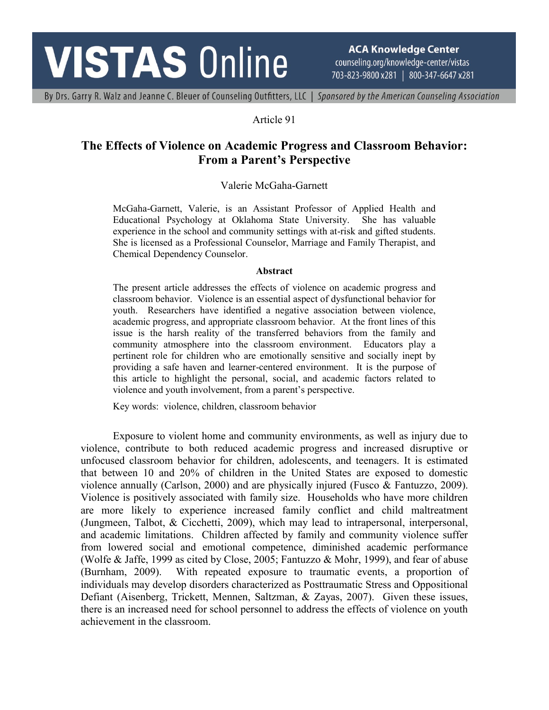# **VISTAS Online**

**ACA Knowledge Center** counseling.org/knowledge-center/vistas 703-823-9800 x281 | 800-347-6647 x281

By Drs. Garry R. Walz and Jeanne C. Bleuer of Counseling Outfitters, LLC | Sponsored by the American Counseling Association

# Article 91

# **The Effects of Violence on Academic Progress and Classroom Behavior: From a Parent's Perspective**

# Valerie McGaha-Garnett

McGaha-Garnett, Valerie, is an Assistant Professor of Applied Health and Educational Psychology at Oklahoma State University. She has valuable experience in the school and community settings with at-risk and gifted students. She is licensed as a Professional Counselor, Marriage and Family Therapist, and Chemical Dependency Counselor.

#### **Abstract**

The present article addresses the effects of violence on academic progress and classroom behavior. Violence is an essential aspect of dysfunctional behavior for youth. Researchers have identified a negative association between violence, academic progress, and appropriate classroom behavior. At the front lines of this issue is the harsh reality of the transferred behaviors from the family and community atmosphere into the classroom environment. Educators play a pertinent role for children who are emotionally sensitive and socially inept by providing a safe haven and learner-centered environment. It is the purpose of this article to highlight the personal, social, and academic factors related to violence and youth involvement, from a parent's perspective.

Key words: violence, children, classroom behavior

Exposure to violent home and community environments, as well as injury due to violence, contribute to both reduced academic progress and increased disruptive or unfocused classroom behavior for children, adolescents, and teenagers. It is estimated that between 10 and 20% of children in the United States are exposed to domestic violence annually (Carlson, 2000) and are physically injured (Fusco & Fantuzzo, 2009). Violence is positively associated with family size. Households who have more children are more likely to experience increased family conflict and child maltreatment (Jungmeen, Talbot, & Cicchetti, 2009), which may lead to intrapersonal, interpersonal, and academic limitations. Children affected by family and community violence suffer from lowered social and emotional competence, diminished academic performance (Wolfe & Jaffe, 1999 as cited by Close, 2005; Fantuzzo & Mohr, 1999), and fear of abuse (Burnham, 2009). With repeated exposure to traumatic events, a proportion of individuals may develop disorders characterized as Posttraumatic Stress and Oppositional Defiant (Aisenberg, Trickett, Mennen, Saltzman, & Zayas, 2007). Given these issues, there is an increased need for school personnel to address the effects of violence on youth achievement in the classroom.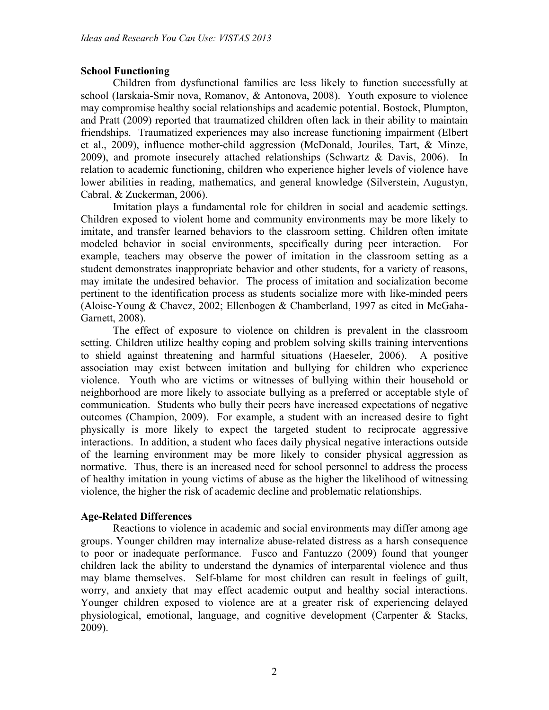# **School Functioning**

Children from dysfunctional families are less likely to function successfully at school (Iarskaia-Smir nova, Romanov, & Antonova, 2008). Youth exposure to violence may compromise healthy social relationships and academic potential. Bostock, Plumpton, and Pratt (2009) reported that traumatized children often lack in their ability to maintain friendships. Traumatized experiences may also increase functioning impairment (Elbert et al., 2009), influence mother-child aggression (McDonald, Jouriles, Tart, & Minze, 2009), and promote insecurely attached relationships (Schwartz & Davis, 2006). In relation to academic functioning, children who experience higher levels of violence have lower abilities in reading, mathematics, and general knowledge (Silverstein, Augustyn, Cabral, & Zuckerman, 2006).

Imitation plays a fundamental role for children in social and academic settings. Children exposed to violent home and community environments may be more likely to imitate, and transfer learned behaviors to the classroom setting. Children often imitate modeled behavior in social environments, specifically during peer interaction. For example, teachers may observe the power of imitation in the classroom setting as a student demonstrates inappropriate behavior and other students, for a variety of reasons, may imitate the undesired behavior. The process of imitation and socialization become pertinent to the identification process as students socialize more with like-minded peers (Aloise-Young & Chavez, 2002; Ellenbogen & Chamberland, 1997 as cited in McGaha-Garnett, 2008).

The effect of exposure to violence on children is prevalent in the classroom setting. Children utilize healthy coping and problem solving skills training interventions to shield against threatening and harmful situations (Haeseler, 2006). A positive association may exist between imitation and bullying for children who experience violence. Youth who are victims or witnesses of bullying within their household or neighborhood are more likely to associate bullying as a preferred or acceptable style of communication. Students who bully their peers have increased expectations of negative outcomes (Champion, 2009). For example, a student with an increased desire to fight physically is more likely to expect the targeted student to reciprocate aggressive interactions. In addition, a student who faces daily physical negative interactions outside of the learning environment may be more likely to consider physical aggression as normative. Thus, there is an increased need for school personnel to address the process of healthy imitation in young victims of abuse as the higher the likelihood of witnessing violence, the higher the risk of academic decline and problematic relationships.

# **Age-Related Differences**

Reactions to violence in academic and social environments may differ among age groups. Younger children may internalize abuse-related distress as a harsh consequence to poor or inadequate performance. Fusco and Fantuzzo (2009) found that younger children lack the ability to understand the dynamics of interparental violence and thus may blame themselves. Self-blame for most children can result in feelings of guilt, worry, and anxiety that may effect academic output and healthy social interactions. Younger children exposed to violence are at a greater risk of experiencing delayed physiological, emotional, language, and cognitive development (Carpenter & Stacks, 2009).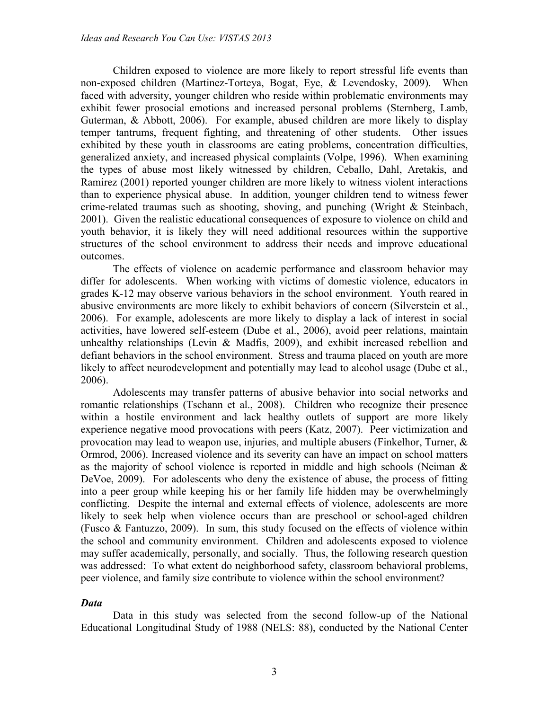Children exposed to violence are more likely to report stressful life events than non-exposed children (Martinez-Torteya, Bogat, Eye, & Levendosky, 2009). When faced with adversity, younger children who reside within problematic environments may exhibit fewer prosocial emotions and increased personal problems (Sternberg, Lamb, Guterman, & Abbott, 2006). For example, abused children are more likely to display temper tantrums, frequent fighting, and threatening of other students. Other issues exhibited by these youth in classrooms are eating problems, concentration difficulties, generalized anxiety, and increased physical complaints (Volpe, 1996). When examining the types of abuse most likely witnessed by children, Ceballo, Dahl, Aretakis, and Ramirez (2001) reported younger children are more likely to witness violent interactions than to experience physical abuse. In addition, younger children tend to witness fewer crime-related traumas such as shooting, shoving, and punching (Wright  $\&$  Steinbach, 2001). Given the realistic educational consequences of exposure to violence on child and youth behavior, it is likely they will need additional resources within the supportive structures of the school environment to address their needs and improve educational outcomes.

The effects of violence on academic performance and classroom behavior may differ for adolescents. When working with victims of domestic violence, educators in grades K-12 may observe various behaviors in the school environment. Youth reared in abusive environments are more likely to exhibit behaviors of concern (Silverstein et al., 2006). For example, adolescents are more likely to display a lack of interest in social activities, have lowered self-esteem (Dube et al., 2006), avoid peer relations, maintain unhealthy relationships (Levin  $\&$  Madfis, 2009), and exhibit increased rebellion and defiant behaviors in the school environment. Stress and trauma placed on youth are more likely to affect neurodevelopment and potentially may lead to alcohol usage (Dube et al., 2006).

Adolescents may transfer patterns of abusive behavior into social networks and romantic relationships (Tschann et al., 2008). Children who recognize their presence within a hostile environment and lack healthy outlets of support are more likely experience negative mood provocations with peers (Katz, 2007). Peer victimization and provocation may lead to weapon use, injuries, and multiple abusers (Finkelhor, Turner, & Ormrod, 2006). Increased violence and its severity can have an impact on school matters as the majority of school violence is reported in middle and high schools (Neiman & DeVoe, 2009). For adolescents who deny the existence of abuse, the process of fitting into a peer group while keeping his or her family life hidden may be overwhelmingly conflicting. Despite the internal and external effects of violence, adolescents are more likely to seek help when violence occurs than are preschool or school-aged children (Fusco & Fantuzzo, 2009). In sum, this study focused on the effects of violence within the school and community environment. Children and adolescents exposed to violence may suffer academically, personally, and socially. Thus, the following research question was addressed: To what extent do neighborhood safety, classroom behavioral problems, peer violence, and family size contribute to violence within the school environment?

# *Data*

Data in this study was selected from the second follow-up of the National Educational Longitudinal Study of 1988 (NELS: 88), conducted by the National Center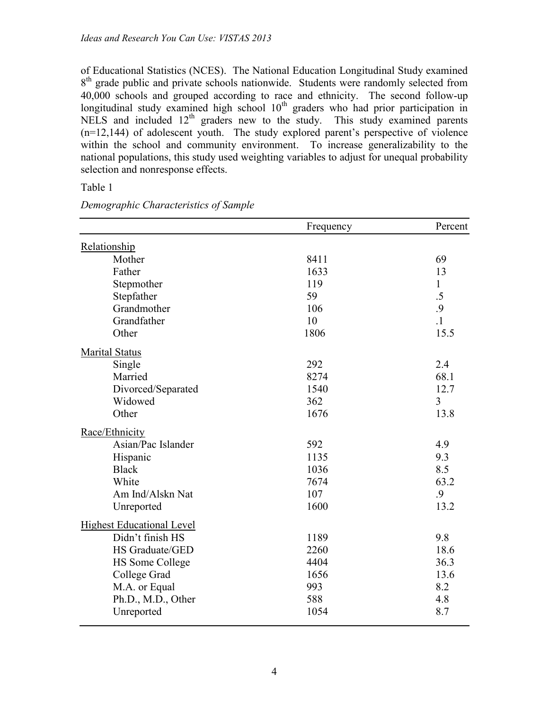of Educational Statistics (NCES). The National Education Longitudinal Study examined 8<sup>th</sup> grade public and private schools nationwide. Students were randomly selected from 40,000 schools and grouped according to race and ethnicity. The second follow-up longitudinal study examined high school 10<sup>th</sup> graders who had prior participation in NELS and included 12<sup>th</sup> graders new to the study. This study examined parents (n=12,144) of adolescent youth. The study explored parent's perspective of violence within the school and community environment. To increase generalizability to the national populations, this study used weighting variables to adjust for unequal probability selection and nonresponse effects.

Table 1

|                                                   | Frequency            | Percent                            |
|---------------------------------------------------|----------------------|------------------------------------|
| Relationship                                      |                      |                                    |
| Mother                                            | 8411                 | 69                                 |
| Father                                            | 1633                 | 13                                 |
| Stepmother                                        | 119                  | $\mathbf{1}$                       |
| Stepfather                                        | 59                   | .5                                 |
| Grandmother                                       | 106                  | .9                                 |
| Grandfather                                       | 10                   | $\cdot$ 1                          |
| Other                                             | 1806                 | 15.5                               |
| <b>Marital Status</b>                             |                      |                                    |
| Single                                            | 292                  | 2.4                                |
| Married                                           | 8274                 | 68.1                               |
| Divorced/Separated                                | 1540                 | 12.7                               |
| Widowed                                           | 362                  | $\overline{3}$                     |
| Other                                             | 1676                 | 13.8                               |
| Race/Ethnicity                                    |                      |                                    |
| Asian/Pac Islander                                | 592                  | 4.9                                |
| Hispanic                                          | 1135                 | 9.3                                |
| <b>Black</b>                                      | 1036                 | 8.5                                |
| White                                             | 7674                 | 63.2                               |
| Am Ind/Alskn Nat                                  | 107                  | .9                                 |
| Unreported                                        | 1600                 | 13.2                               |
| <b>Highest Educational Level</b>                  |                      |                                    |
|                                                   |                      |                                    |
|                                                   | 2260                 |                                    |
| <b>HS Some College</b>                            |                      |                                    |
| College Grad                                      |                      |                                    |
| M.A. or Equal                                     | 993                  | 8.2                                |
| Ph.D., M.D., Other                                | 588                  | 4.8                                |
|                                                   | 1054                 |                                    |
| Didn't finish HS<br>HS Graduate/GED<br>Unreported | 1189<br>4404<br>1656 | 9.8<br>18.6<br>36.3<br>13.6<br>8.7 |

*Demographic Characteristics of Sample*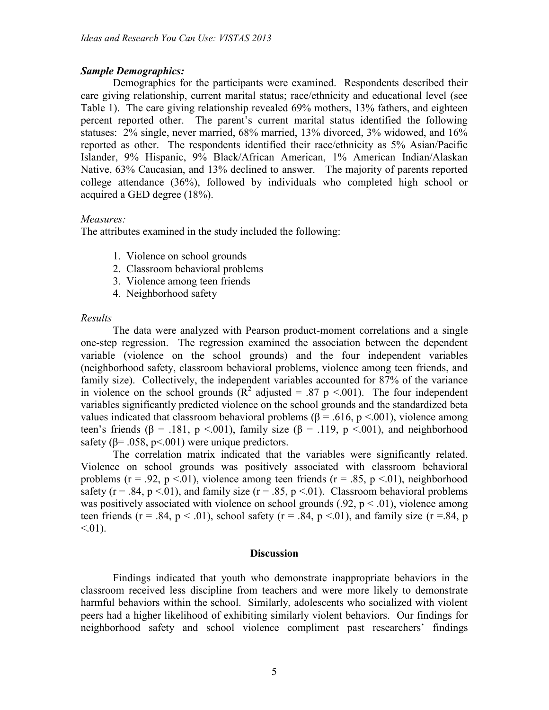# *Sample Demographics:*

Demographics for the participants were examined. Respondents described their care giving relationship, current marital status; race/ethnicity and educational level (see Table 1). The care giving relationship revealed 69% mothers, 13% fathers, and eighteen percent reported other. The parent's current marital status identified the following statuses: 2% single, never married, 68% married, 13% divorced, 3% widowed, and 16% reported as other. The respondents identified their race/ethnicity as 5% Asian/Pacific Islander, 9% Hispanic, 9% Black/African American, 1% American Indian/Alaskan Native, 63% Caucasian, and 13% declined to answer. The majority of parents reported college attendance (36%), followed by individuals who completed high school or acquired a GED degree (18%).

# *Measures:*

The attributes examined in the study included the following:

- 1. Violence on school grounds
- 2. Classroom behavioral problems
- 3. Violence among teen friends
- 4. Neighborhood safety

# *Results*

The data were analyzed with Pearson product-moment correlations and a single one-step regression. The regression examined the association between the dependent variable (violence on the school grounds) and the four independent variables (neighborhood safety, classroom behavioral problems, violence among teen friends, and family size). Collectively, the independent variables accounted for 87% of the variance in violence on the school grounds  $(R^2 \text{ adjusted} = .87 \text{ p} < .001)$ . The four independent variables significantly predicted violence on the school grounds and the standardized beta values indicated that classroom behavioral problems ( $β = .616$ ,  $p < .001$ ), violence among teen's friends ( $\beta$  = .181, p <.001), family size ( $\beta$  = .119, p <.001), and neighborhood safety ( $\beta$ = .058, p < .001) were unique predictors.

The correlation matrix indicated that the variables were significantly related. Violence on school grounds was positively associated with classroom behavioral problems ( $r = .92$ ,  $p < .01$ ), violence among teen friends ( $r = .85$ ,  $p < .01$ ), neighborhood safety ( $r = .84$ ,  $p < .01$ ), and family size ( $r = .85$ ,  $p < .01$ ). Classroom behavioral problems was positively associated with violence on school grounds (.92,  $p < .01$ ), violence among teen friends (r = .84, p < .01), school safety (r = .84, p < .01), and family size (r = .84, p  $< 01$ ).

#### **Discussion**

Findings indicated that youth who demonstrate inappropriate behaviors in the classroom received less discipline from teachers and were more likely to demonstrate harmful behaviors within the school. Similarly, adolescents who socialized with violent peers had a higher likelihood of exhibiting similarly violent behaviors. Our findings for neighborhood safety and school violence compliment past researchers' findings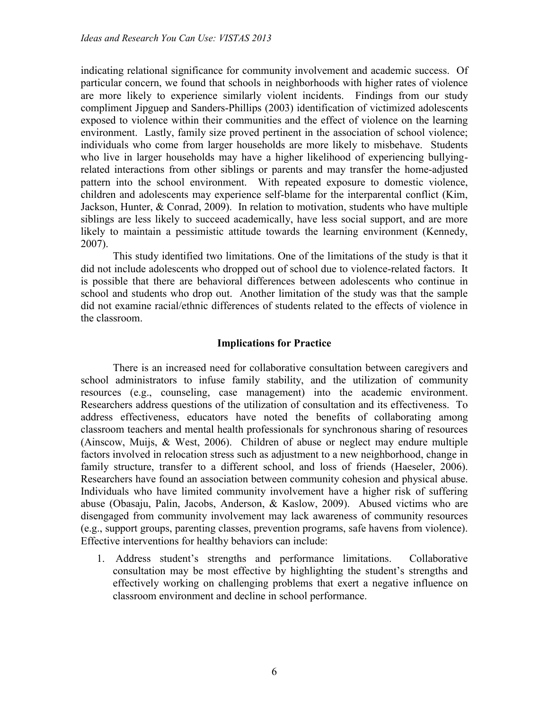indicating relational significance for community involvement and academic success. Of particular concern, we found that schools in neighborhoods with higher rates of violence are more likely to experience similarly violent incidents. Findings from our study compliment Jipguep and Sanders-Phillips (2003) identification of victimized adolescents exposed to violence within their communities and the effect of violence on the learning environment. Lastly, family size proved pertinent in the association of school violence; individuals who come from larger households are more likely to misbehave. Students who live in larger households may have a higher likelihood of experiencing bullyingrelated interactions from other siblings or parents and may transfer the home-adjusted pattern into the school environment. With repeated exposure to domestic violence, children and adolescents may experience self-blame for the interparental conflict (Kim, Jackson, Hunter, & Conrad, 2009). In relation to motivation, students who have multiple siblings are less likely to succeed academically, have less social support, and are more likely to maintain a pessimistic attitude towards the learning environment (Kennedy, 2007).

This study identified two limitations. One of the limitations of the study is that it did not include adolescents who dropped out of school due to violence-related factors. It is possible that there are behavioral differences between adolescents who continue in school and students who drop out. Another limitation of the study was that the sample did not examine racial/ethnic differences of students related to the effects of violence in the classroom.

# **Implications for Practice**

There is an increased need for collaborative consultation between caregivers and school administrators to infuse family stability, and the utilization of community resources (e.g., counseling, case management) into the academic environment. Researchers address questions of the utilization of consultation and its effectiveness. To address effectiveness, educators have noted the benefits of collaborating among classroom teachers and mental health professionals for synchronous sharing of resources (Ainscow, Muijs, & West, 2006). Children of abuse or neglect may endure multiple factors involved in relocation stress such as adjustment to a new neighborhood, change in family structure, transfer to a different school, and loss of friends (Haeseler, 2006). Researchers have found an association between community cohesion and physical abuse. Individuals who have limited community involvement have a higher risk of suffering abuse (Obasaju, Palin, Jacobs, Anderson, & Kaslow, 2009). Abused victims who are disengaged from community involvement may lack awareness of community resources (e.g., support groups, parenting classes, prevention programs, safe havens from violence). Effective interventions for healthy behaviors can include:

1. Address student's strengths and performance limitations. Collaborative consultation may be most effective by highlighting the student's strengths and effectively working on challenging problems that exert a negative influence on classroom environment and decline in school performance.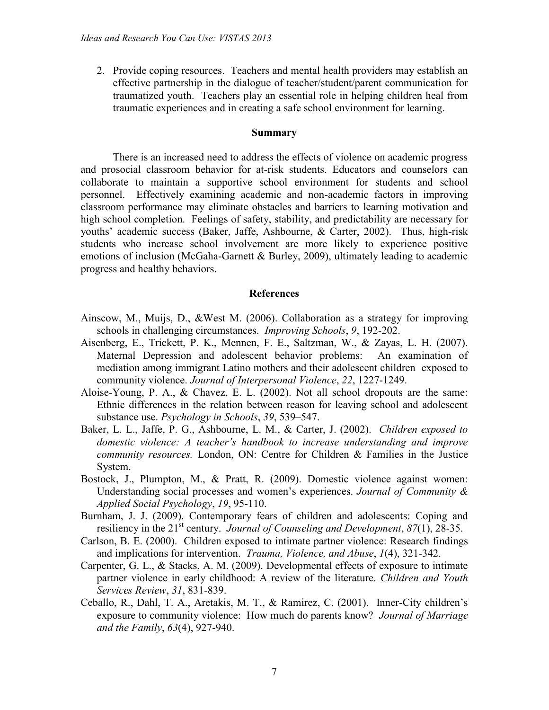2. Provide coping resources. Teachers and mental health providers may establish an effective partnership in the dialogue of teacher/student/parent communication for traumatized youth. Teachers play an essential role in helping children heal from traumatic experiences and in creating a safe school environment for learning.

#### **Summary**

There is an increased need to address the effects of violence on academic progress and prosocial classroom behavior for at-risk students. Educators and counselors can collaborate to maintain a supportive school environment for students and school personnel. Effectively examining academic and non-academic factors in improving classroom performance may eliminate obstacles and barriers to learning motivation and high school completion. Feelings of safety, stability, and predictability are necessary for youths' academic success (Baker, Jaffe, Ashbourne, & Carter, 2002).Thus, high-risk students who increase school involvement are more likely to experience positive emotions of inclusion (McGaha-Garnett & Burley, 2009), ultimately leading to academic progress and healthy behaviors.

#### **References**

- Ainscow, M., Muijs, D., &West M. (2006). Collaboration as a strategy for improving schools in challenging circumstances. *Improving Schools*, *9*, 192-202.
- Aisenberg, E., Trickett, P. K., Mennen, F. E., Saltzman, W., & Zayas, L. H. (2007). Maternal Depression and adolescent behavior problems: An examination of mediation among immigrant Latino mothers and their adolescent children exposed to community violence. *Journal of Interpersonal Violence*, *22*, 1227-1249.
- Aloise-Young, P. A., & Chavez, E. L. (2002). Not all school dropouts are the same: Ethnic differences in the relation between reason for leaving school and adolescent substance use. *Psychology in Schools*, *39*, 539–547.
- Baker, L. L., Jaffe, P. G., Ashbourne, L. M., & Carter, J. (2002). *Children exposed to domestic violence: A teacher's handbook to increase understanding and improve community resources.* London, ON: Centre for Children & Families in the Justice System.
- Bostock, J., Plumpton, M., & Pratt, R. (2009). Domestic violence against women: Understanding social processes and women's experiences. *Journal of Community & Applied Social Psychology*, *19*, 95-110.
- Burnham, J. J. (2009). Contemporary fears of children and adolescents: Coping and resiliency in the 21<sup>st</sup> century. *Journal of Counseling and Development*, 87(1), 28-35.
- Carlson, B. E. (2000). Children exposed to intimate partner violence: Research findings and implications for intervention. *Trauma, Violence, and Abuse*, *1*(4), 321-342.
- Carpenter, G. L., & Stacks, A. M. (2009). Developmental effects of exposure to intimate partner violence in early childhood: A review of the literature. *Children and Youth Services Review*, *31*, 831-839.
- Ceballo, R., Dahl, T. A., Aretakis, M. T., & Ramirez, C. (2001). Inner-City children's exposure to community violence: How much do parents know? *Journal of Marriage and the Family*, *63*(4), 927-940.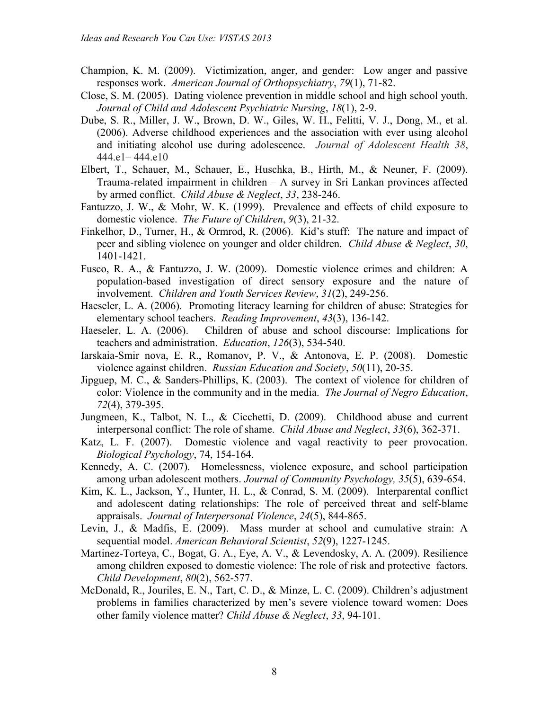- Champion, K. M. (2009). Victimization, anger, and gender: Low anger and passive responses work. *American Journal of Orthopsychiatry*, *79*(1), 71-82.
- Close, S. M. (2005). Dating violence prevention in middle school and high school youth. *Journal of Child and Adolescent Psychiatric Nursing*, *18*(1), 2-9.
- Dube, S. R., Miller, J. W., Brown, D. W., Giles, W. H., Felitti, V. J., Dong, M., et al. (2006). Adverse childhood experiences and the association with ever using alcohol and initiating alcohol use during adolescence. *Journal of Adolescent Health 38*, 444.e1– 444.e10
- Elbert, T., Schauer, M., Schauer, E., Huschka, B., Hirth, M., & Neuner, F. (2009). Trauma-related impairment in children – A survey in Sri Lankan provinces affected by armed conflict. *Child Abuse & Neglect*, *33*, 238-246.
- Fantuzzo, J. W., & Mohr, W. K. (1999). Prevalence and effects of child exposure to domestic violence. *The Future of Children*, *9*(3), 21-32.
- Finkelhor, D., Turner, H., & Ormrod, R. (2006). Kid's stuff: The nature and impact of peer and sibling violence on younger and older children. *Child Abuse & Neglect*, *30*, 1401-1421.
- Fusco, R. A., & Fantuzzo, J. W. (2009). Domestic violence crimes and children: A population-based investigation of direct sensory exposure and the nature of involvement. *Children and Youth Services Review*, *31*(2), 249-256.
- Haeseler, L. A. (2006). Promoting literacy learning for children of abuse: Strategies for elementary school teachers. *Reading Improvement*, *43*(3), 136-142.
- Haeseler, L. A. (2006). Children of abuse and school discourse: Implications for teachers and administration. *Education*, *126*(3), 534-540.
- Iarskaia-Smir nova, E. R., Romanov, P. V., & Antonova, E. P. (2008). Domestic violence against children. *Russian Education and Society*, *50*(11), 20-35.
- Jipguep, M. C., & Sanders-Phillips, K. (2003). The context of violence for children of color: Violence in the community and in the media. *The Journal of Negro Education*, *72*(4), 379-395.
- Jungmeen, K., Talbot, N. L., & Cicchetti, D. (2009). Childhood abuse and current interpersonal conflict: The role of shame. *Child Abuse and Neglect*, *33*(6), 362-371.
- Katz, L. F. (2007). Domestic violence and vagal reactivity to peer provocation. *Biological Psychology*, 74, 154-164.
- Kennedy, A. C. (2007). Homelessness, violence exposure, and school participation among urban adolescent mothers. *Journal of Community Psychology, 35*(5), 639-654.
- Kim, K. L., Jackson, Y., Hunter, H. L., & Conrad, S. M. (2009). Interparental conflict and adolescent dating relationships: The role of perceived threat and self-blame appraisals. *Journal of Interpersonal Violence*, *24*(5), 844-865.
- Levin, J., & Madfis, E. (2009). Mass murder at school and cumulative strain: A sequential model. *American Behavioral Scientist*, *52*(9), 1227-1245.
- Martinez-Torteya, C., Bogat, G. A., Eye, A. V., & Levendosky, A. A. (2009). Resilience among children exposed to domestic violence: The role of risk and protective factors. *Child Development*, *80*(2), 562-577.
- McDonald, R., Jouriles, E. N., Tart, C. D., & Minze, L. C. (2009). Children's adjustment problems in families characterized by men's severe violence toward women: Does other family violence matter? *Child Abuse & Neglect*, *33*, 94-101.